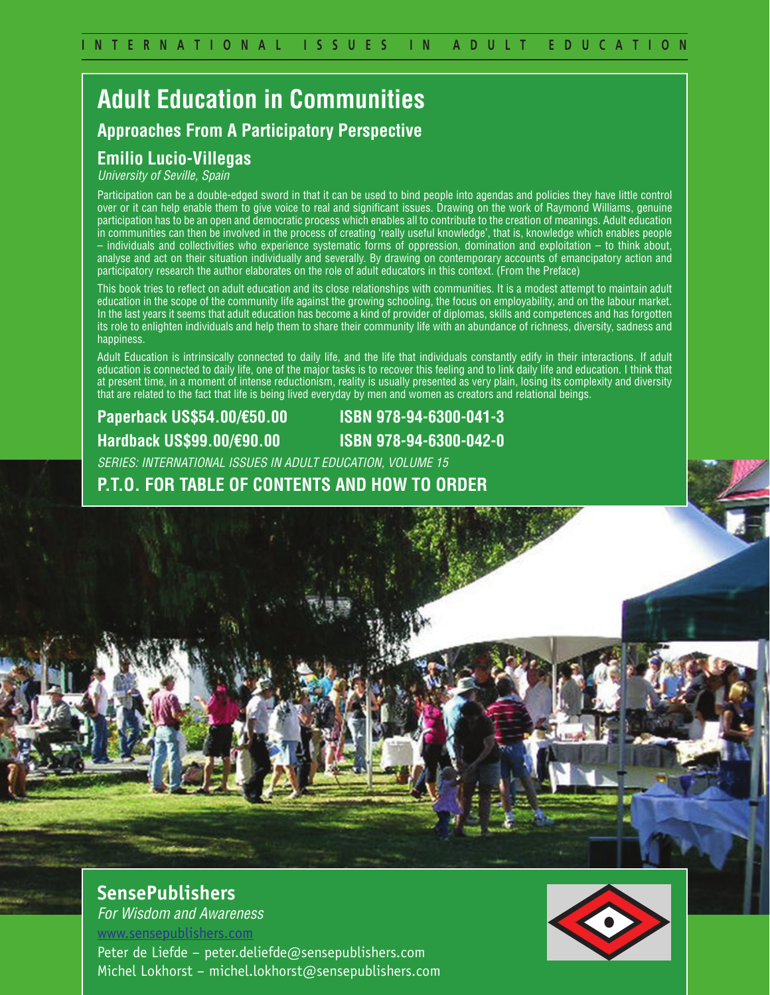# **Adult Education in Communities Approaches From A Participatory Perspective**

#### **Emilio Lucio-Villegas**

*University of Seville, Spain*

Participation can be a double-edged sword in that it can be used to bind people into agendas and policies they have little control over or it can help enable them to give voice to real and significant issues. Drawing on the work of Raymond Williams, genuine participation has to be an open and democratic process which enables all to contribute to the creation of meanings. Adult education in communities can then be involved in the process of creating 'really useful knowledge', that is, knowledge which enables people – individuals and collectivities who experience systematic forms of oppression, domination and exploitation – to think about, analyse and act on their situation individually and severally. By drawing on contemporary accounts of emancipatory action and participatory research the author elaborates on the role of adult educators in this context. (From the Preface)

This book tries to reflect on adult education and its close relationships with communities. It is a modest attempt to maintain adult education in the scope of the community life against the growing schooling, the focus on employability, and on the labour market. In the last years it seems that adult education has become a kind of provider of diplomas, skills and competences and has forgotten its role to enlighten individuals and help them to share their community life with an abundance of richness, diversity, sadness and happiness.

Adult Education is intrinsically connected to daily life, and the life that individuals constantly edify in their interactions. If adult education is connected to daily life, one of the major tasks is to recover this feeling and to link daily life and education. I think that at present time, in a moment of intense reductionism, reality is usually presented as very plain, losing its complexity and diversity that are related to the fact that life is being lived everyday by men and women as creators and relational beings.

### **Paperback US\$54.00/€50.00 ISBN 978-94-6300-041-3 Hardback US\$99.00/€90.00 ISBN 978-94-6300-042-0**

*SERIES: INTERNATIONAL ISSUES IN ADULT EDUCATION, VOLUME 15*

**P.T.O. FOR TABLE OF CONTENTS AND HOW TO ORDER**

**SensePublishers** *For Wisdom and Awareness*

www.sensepublishers.com

Peter de Liefde – peter.deliefde@sensepublishers.com Michel Lokhorst – michel.lokhorst@sensepublishers.com